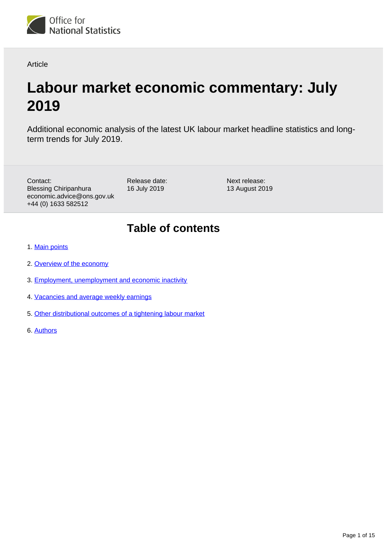

Article

# **Labour market economic commentary: July 2019**

Additional economic analysis of the latest UK labour market headline statistics and longterm trends for July 2019.

Contact: Blessing Chiripanhura economic.advice@ons.gov.uk +44 (0) 1633 582512

Release date: 16 July 2019

Next release: 13 August 2019

# **Table of contents**

- 1. [Main points](#page-1-0)
- 2. [Overview of the economy](#page-1-1)
- 3. [Employment, unemployment and economic inactivity](#page-2-0)
- 4. [Vacancies and average weekly earnings](#page-4-0)
- 5. [Other distributional outcomes of a tightening labour market](#page-7-0)
- 6. [Authors](#page-14-0)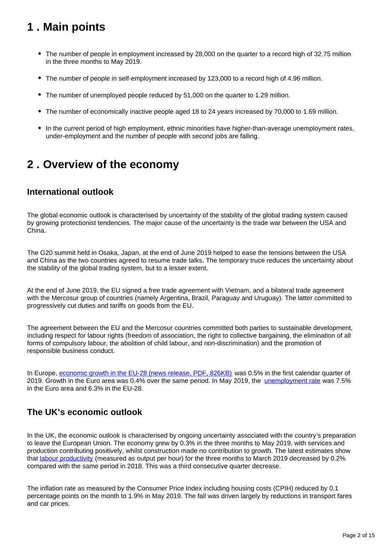# <span id="page-1-0"></span>**1 . Main points**

- The number of people in employment increased by 28,000 on the quarter to a record high of 32.75 million in the three months to May 2019.
- The number of people in self-employment increased by 123,000 to a record high of 4.96 million.
- The number of unemployed people reduced by 51,000 on the quarter to 1.29 million.
- The number of economically inactive people aged 18 to 24 years increased by 70,000 to 1.69 million.
- In the current period of high employment, ethnic minorities have higher-than-average unemployment rates, under-employment and the number of people with second jobs are falling.

## <span id="page-1-1"></span>**2 . Overview of the economy**

### **International outlook**

The global economic outlook is characterised by uncertainty of the stability of the global trading system caused by growing protectionist tendencies. The major cause of the uncertainty is the trade war between the USA and China.

The G20 summit held in Osaka, Japan, at the end of June 2019 helped to ease the tensions between the USA and China as the two countries agreed to resume trade talks. The temporary truce reduces the uncertainty about the stability of the global trading system, but to a lesser extent.

At the end of June 2019, the EU signed a free trade agreement with Vietnam, and a bilateral trade agreement with the Mercosur group of countries (namely Argentina, Brazil, Paraguay and Uruguay). The latter committed to progressively cut duties and tariffs on goods from the EU.

The agreement between the EU and the Mercosur countries committed both parties to sustainable development, including respect for labour rights (freedom of association, the right to collective bargaining, the elimination of all forms of compulsory labour, the abolition of child labour, and non-discrimination) and the promotion of responsible business conduct.

In Europe, [economic growth in the EU-28 \(news release, PDF, 826KB\)](https://ec.europa.eu/eurostat/documents/2995521/9826893/2-06062019-AP-EN.pdf/7fb9b039-72ee-4441-987d-450c185450fc) was 0.5% in the first calendar quarter of 2019. Growth in the Euro area was 0.4% over the same period. In May 2019, the [unemployment rate](https://ec.europa.eu/eurostat/statistics-explained/index.php/Unemployment_statistics) was 7.5% in the Euro area and 6.3% in the EU-28.

### **The UK's economic outlook**

In the UK, the economic outlook is characterised by ongoing uncertainty associated with the country's preparation to leave the European Union. The economy grew by 0.3% in the three months to May 2019, with services and production contributing positively, whilst construction made no contribution to growth. The latest estimates show that [labour productivity](https://www.ons.gov.uk/employmentandlabourmarket/peopleinwork/labourproductivity/articles/ukproductivityintroduction/januarytomarch2019) (measured as output per hour) for the three months to March 2019 decreased by 0.2% compared with the same period in 2018. This was a third consecutive quarter decrease.

The inflation rate as measured by the Consumer Price Index including housing costs (CPIH) reduced by 0.1 percentage points on the month to 1.9% in May 2019. The fall was driven largely by reductions in transport fares and car prices.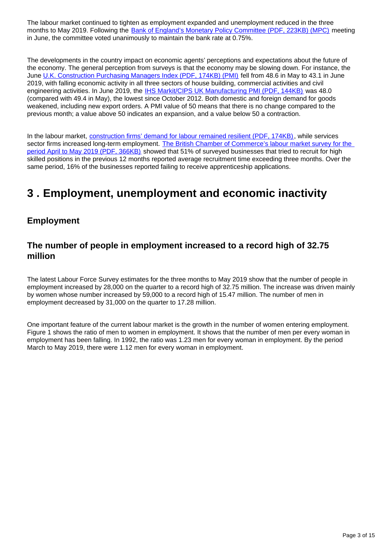The labour market continued to tighten as employment expanded and unemployment reduced in the three months to May 2019. Following the [Bank of England's Monetary Policy Committee \(PDF, 223KB\) \(MPC\)](https://www.bankofengland.co.uk/-/media/boe/files/monetary-policy-summary-and-minutes/2019/june-2019.pdf?la=en&hash=BB3E149B542C8C2E9F6B22F50261493E16BBAEFF) meeting in June, the committee voted unanimously to maintain the bank rate at 0.75%.

The developments in the country impact on economic agents' perceptions and expectations about the future of the economy. The general perception from surveys is that the economy may be slowing down. For instance, the June [U.K. Construction Purchasing Managers Index \(PDF, 174KB\) \(PMI\)](https://www.markiteconomics.com/Public/Home/PressRelease/92a5c843504548d8ac454df07bdd97ee) fell from 48.6 in May to 43.1 in June 2019, with falling economic activity in all three sectors of house building, commercial activities and civil engineering activities. In June 2019, the [IHS Markit/CIPS UK Manufacturing PMI \(PDF, 144KB\)](https://www.markiteconomics.com/Public/Home/PressRelease/afba065ed17f42b7abab1dfabf37c33b) was 48.0 (compared with 49.4 in May), the lowest since October 2012. Both domestic and foreign demand for goods weakened, including new export orders. A PMI value of 50 means that there is no change compared to the previous month; a value above 50 indicates an expansion, and a value below 50 a contraction.

In the labour market, [construction firms' demand for labour remained resilient \(PDF, 174KB\)](https://www.markiteconomics.com/Public/Home/PressRelease/92a5c843504548d8ac454df07bdd97ee), while services sector firms increased long-term employment. [The British Chamber of Commerce's labour market survey for the](https://www.britishchambers.org.uk/media/get/BCC%20and%20Indeed%20.pdf)  [period April to May 2019 \(PDF, 366KB\)](https://www.britishchambers.org.uk/media/get/BCC%20and%20Indeed%20.pdf) showed that 51% of surveyed businesses that tried to recruit for high skilled positions in the previous 12 months reported average recruitment time exceeding three months. Over the same period, 16% of the businesses reported failing to receive apprenticeship applications.

# <span id="page-2-0"></span>**3 . Employment, unemployment and economic inactivity**

### **Employment**

### **The number of people in employment increased to a record high of 32.75 million**

The latest Labour Force Survey estimates for the three months to May 2019 show that the number of people in employment increased by 28,000 on the quarter to a record high of 32.75 million. The increase was driven mainly by women whose number increased by 59,000 to a record high of 15.47 million. The number of men in employment decreased by 31,000 on the quarter to 17.28 million.

One important feature of the current labour market is the growth in the number of women entering employment. Figure 1 shows the ratio of men to women in employment. It shows that the number of men per every woman in employment has been falling. In 1992, the ratio was 1.23 men for every woman in employment. By the period March to May 2019, there were 1.12 men for every woman in employment.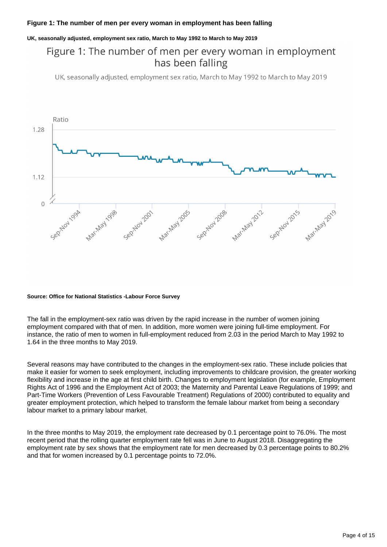#### **Figure 1: The number of men per every woman in employment has been falling**

#### **UK, seasonally adjusted, employment sex ratio, March to May 1992 to March to May 2019**

### Figure 1: The number of men per every woman in employment has been falling

UK, seasonally adjusted, employment sex ratio, March to May 1992 to March to May 2019



#### **Source: Office for National Statistics -Labour Force Survey**

The fall in the employment-sex ratio was driven by the rapid increase in the number of women joining employment compared with that of men. In addition, more women were joining full-time employment. For instance, the ratio of men to women in full-employment reduced from 2.03 in the period March to May 1992 to 1.64 in the three months to May 2019.

Several reasons may have contributed to the changes in the employment-sex ratio. These include policies that make it easier for women to seek employment, including improvements to childcare provision, the greater working flexibility and increase in the age at first child birth. Changes to employment legislation (for example, Employment Rights Act of 1996 and the Employment Act of 2003; the Maternity and Parental Leave Regulations of 1999; and Part-Time Workers (Prevention of Less Favourable Treatment) Regulations of 2000) contributed to equality and greater employment protection, which helped to transform the female labour market from being a secondary labour market to a primary labour market.

In the three months to May 2019, the employment rate decreased by 0.1 percentage point to 76.0%. The most recent period that the rolling quarter employment rate fell was in June to August 2018. Disaggregating the employment rate by sex shows that the employment rate for men decreased by 0.3 percentage points to 80.2% and that for women increased by 0.1 percentage points to 72.0%.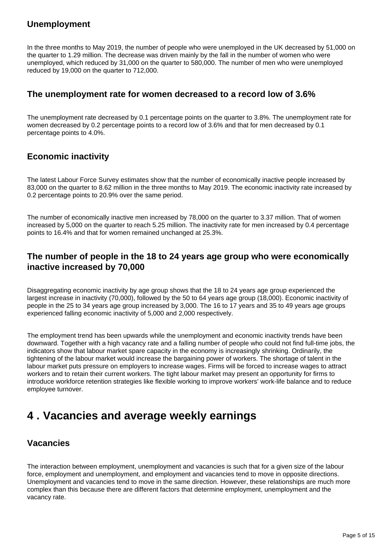### **Unemployment**

In the three months to May 2019, the number of people who were unemployed in the UK decreased by 51,000 on the quarter to 1.29 million. The decrease was driven mainly by the fall in the number of women who were unemployed, which reduced by 31,000 on the quarter to 580,000. The number of men who were unemployed reduced by 19,000 on the quarter to 712,000.

### **The unemployment rate for women decreased to a record low of 3.6%**

The unemployment rate decreased by 0.1 percentage points on the quarter to 3.8%. The unemployment rate for women decreased by 0.2 percentage points to a record low of 3.6% and that for men decreased by 0.1 percentage points to 4.0%.

### **Economic inactivity**

The latest Labour Force Survey estimates show that the number of economically inactive people increased by 83,000 on the quarter to 8.62 million in the three months to May 2019. The economic inactivity rate increased by 0.2 percentage points to 20.9% over the same period.

The number of economically inactive men increased by 78,000 on the quarter to 3.37 million. That of women increased by 5,000 on the quarter to reach 5.25 million. The inactivity rate for men increased by 0.4 percentage points to 16.4% and that for women remained unchanged at 25.3%.

### **The number of people in the 18 to 24 years age group who were economically inactive increased by 70,000**

Disaggregating economic inactivity by age group shows that the 18 to 24 years age group experienced the largest increase in inactivity (70,000), followed by the 50 to 64 years age group (18,000). Economic inactivity of people in the 25 to 34 years age group increased by 3,000. The 16 to 17 years and 35 to 49 years age groups experienced falling economic inactivity of 5,000 and 2,000 respectively.

The employment trend has been upwards while the unemployment and economic inactivity trends have been downward. Together with a high vacancy rate and a falling number of people who could not find full-time jobs, the indicators show that labour market spare capacity in the economy is increasingly shrinking. Ordinarily, the tightening of the labour market would increase the bargaining power of workers. The shortage of talent in the labour market puts pressure on employers to increase wages. Firms will be forced to increase wages to attract workers and to retain their current workers. The tight labour market may present an opportunity for firms to introduce workforce retention strategies like flexible working to improve workers' work-life balance and to reduce employee turnover.

## <span id="page-4-0"></span>**4 . Vacancies and average weekly earnings**

### **Vacancies**

The interaction between employment, unemployment and vacancies is such that for a given size of the labour force, employment and unemployment, and employment and vacancies tend to move in opposite directions. Unemployment and vacancies tend to move in the same direction. However, these relationships are much more complex than this because there are different factors that determine employment, unemployment and the vacancy rate.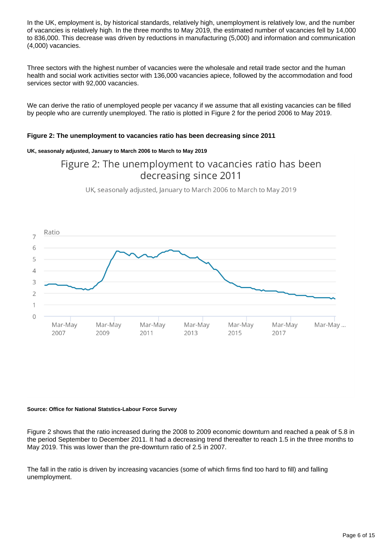In the UK, employment is, by historical standards, relatively high, unemployment is relatively low, and the number of vacancies is relatively high. In the three months to May 2019, the estimated number of vacancies fell by 14,000 to 836,000. This decrease was driven by reductions in manufacturing (5,000) and information and communication (4,000) vacancies.

Three sectors with the highest number of vacancies were the wholesale and retail trade sector and the human health and social work activities sector with 136,000 vacancies apiece, followed by the accommodation and food services sector with 92,000 vacancies.

We can derive the ratio of unemployed people per vacancy if we assume that all existing vacancies can be filled by people who are currently unemployed. The ratio is plotted in Figure 2 for the period 2006 to May 2019.

#### **Figure 2: The unemployment to vacancies ratio has been decreasing since 2011**

#### **UK, seasonaly adjusted, January to March 2006 to March to May 2019**

### Figure 2: The unemployment to vacancies ratio has been decreasing since 2011

UK, seasonaly adjusted, January to March 2006 to March to May 2019



#### **Source: Office for National Statstics-Labour Force Survey**

Figure 2 shows that the ratio increased during the 2008 to 2009 economic downturn and reached a peak of 5.8 in the period September to December 2011. It had a decreasing trend thereafter to reach 1.5 in the three months to May 2019. This was lower than the pre-downturn ratio of 2.5 in 2007.

The fall in the ratio is driven by increasing vacancies (some of which firms find too hard to fill) and falling unemployment.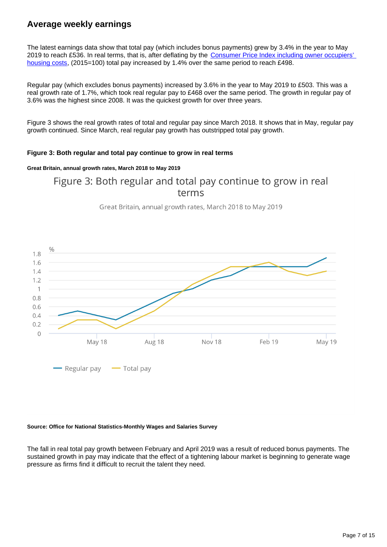### **Average weekly earnings**

The latest earnings data show that total pay (which includes bonus payments) grew by 3.4% in the year to May 2019 to reach £536. In real terms, that is, after deflating by the Consumer Price Index including owner occupiers' [housing costs,](https://www.ons.gov.uk/economy/inflationandpriceindices/bulletins/consumerpriceinflation/latest) (2015=100) total pay increased by 1.4% over the same period to reach £498.

Regular pay (which excludes bonus payments) increased by 3.6% in the year to May 2019 to £503. This was a real growth rate of 1.7%, which took real regular pay to £468 over the same period. The growth in regular pay of 3.6% was the highest since 2008. It was the quickest growth for over three years.

Figure 3 shows the real growth rates of total and regular pay since March 2018. It shows that in May, regular pay growth continued. Since March, real regular pay growth has outstripped total pay growth.

#### **Figure 3: Both regular and total pay continue to grow in real terms**

#### **Great Britain, annual growth rates, March 2018 to May 2019**

Figure 3: Both regular and total pay continue to grow in real terms

Great Britain, annual growth rates, March 2018 to May 2019



#### **Source: Office for National Statistics-Monthly Wages and Salaries Survey**

The fall in real total pay growth between February and April 2019 was a result of reduced bonus payments. The sustained growth in pay may indicate that the effect of a tightening labour market is beginning to generate wage pressure as firms find it difficult to recruit the talent they need.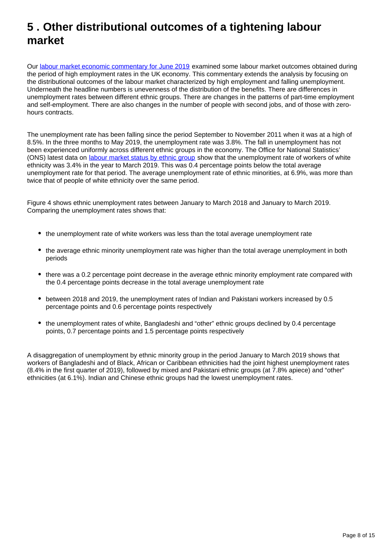# <span id="page-7-0"></span>**5 . Other distributional outcomes of a tightening labour market**

Our [labour market economic commentary for June 2019](https://www.ons.gov.uk/employmentandlabourmarket/peopleinwork/employmentandemployeetypes/articles/labourmarketeconomiccommentary/june2019) examined some labour market outcomes obtained during the period of high employment rates in the UK economy. This commentary extends the analysis by focusing on the distributional outcomes of the labour market characterized by high employment and falling unemployment. Underneath the headline numbers is unevenness of the distribution of the benefits. There are differences in unemployment rates between different ethnic groups. There are changes in the patterns of part-time employment and self-employment. There are also changes in the number of people with second jobs, and of those with zerohours contracts.

The unemployment rate has been falling since the period September to November 2011 when it was at a high of 8.5%. In the three months to May 2019, the unemployment rate was 3.8%. The fall in unemployment has not been experienced uniformly across different ethnic groups in the economy. The Office for National Statistics' (ONS) latest data on [labour market status by ethnic group](https://www.ons.gov.uk/employmentandlabourmarket/peopleinwork/employmentandemployeetypes/datasets/labourmarketstatusbyethnicgroupa09) show that the unemployment rate of workers of white ethnicity was 3.4% in the year to March 2019. This was 0.4 percentage points below the total average unemployment rate for that period. The average unemployment rate of ethnic minorities, at 6.9%, was more than twice that of people of white ethnicity over the same period.

Figure 4 shows ethnic unemployment rates between January to March 2018 and January to March 2019. Comparing the unemployment rates shows that:

- the unemployment rate of white workers was less than the total average unemployment rate
- the average ethnic minority unemployment rate was higher than the total average unemployment in both periods
- there was a 0.2 percentage point decrease in the average ethnic minority employment rate compared with the 0.4 percentage points decrease in the total average unemployment rate
- between 2018 and 2019, the unemployment rates of Indian and Pakistani workers increased by 0.5 percentage points and 0.6 percentage points respectively
- the unemployment rates of white, Bangladeshi and "other" ethnic groups declined by 0.4 percentage points, 0.7 percentage points and 1.5 percentage points respectively

A disaggregation of unemployment by ethnic minority group in the period January to March 2019 shows that workers of Bangladeshi and of Black, African or Caribbean ethnicities had the joint highest unemployment rates (8.4% in the first quarter of 2019), followed by mixed and Pakistani ethnic groups (at 7.8% apiece) and "other" ethnicities (at 6.1%). Indian and Chinese ethnic groups had the lowest unemployment rates.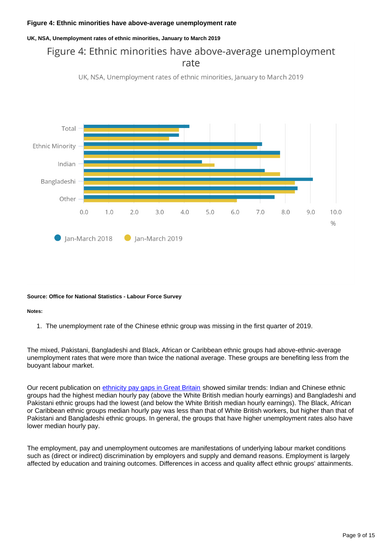#### **Figure 4: Ethnic minorities have above-average unemployment rate**

#### **UK, NSA, Unemployment rates of ethnic minorities, January to March 2019**

## Figure 4: Ethnic minorities have above-average unemployment rate



UK, NSA, Unemployment rates of ethnic minorities, January to March 2019

#### **Source: Office for National Statistics - Labour Force Survey**

#### **Notes:**

1. The unemployment rate of the Chinese ethnic group was missing in the first quarter of 2019.

The mixed, Pakistani, Bangladeshi and Black, African or Caribbean ethnic groups had above-ethnic-average unemployment rates that were more than twice the national average. These groups are benefiting less from the buoyant labour market.

Our recent publication on [ethnicity pay gaps in Great Britain](https://www.ons.gov.uk/employmentandlabourmarket/peopleinwork/earningsandworkinghours/articles/ethnicitypaygapsingreatbritain/2018) showed similar trends: Indian and Chinese ethnic groups had the highest median hourly pay (above the White British median hourly earnings) and Bangladeshi and Pakistani ethnic groups had the lowest (and below the White British median hourly earnings). The Black, African or Caribbean ethnic groups median hourly pay was less than that of White British workers, but higher than that of Pakistani and Bangladeshi ethnic groups. In general, the groups that have higher unemployment rates also have lower median hourly pay.

The employment, pay and unemployment outcomes are manifestations of underlying labour market conditions such as (direct or indirect) discrimination by employers and supply and demand reasons. Employment is largely affected by education and training outcomes. Differences in access and quality affect ethnic groups' attainments.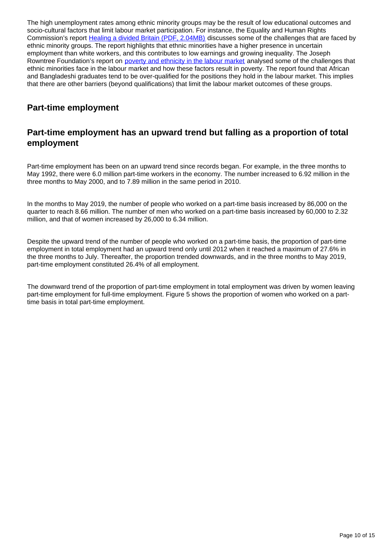The high unemployment rates among ethnic minority groups may be the result of low educational outcomes and socio-cultural factors that limit labour market participation. For instance, the Equality and Human Rights Commission's report [Healing a divided Britain \(PDF, 2.04MB\)](https://www.equalityhumanrights.com/sites/default/files/healing_a_divided_britain_-_the_need_for_a_comprehensive_race_equality_strategy_final.pdf) discusses some of the challenges that are faced by ethnic minority groups. The report highlights that ethnic minorities have a higher presence in uncertain employment than white workers, and this contributes to low earnings and growing inequality. The Joseph Rowntree Foundation's report on [poverty and ethnicity in the labour market](https://www.jrf.org.uk/report/poverty-ethnicity-labour-market) analysed some of the challenges that ethnic minorities face in the labour market and how these factors result in poverty. The report found that African and Bangladeshi graduates tend to be over-qualified for the positions they hold in the labour market. This implies that there are other barriers (beyond qualifications) that limit the labour market outcomes of these groups.

### **Part-time employment**

### **Part-time employment has an upward trend but falling as a proportion of total employment**

Part-time employment has been on an upward trend since records began. For example, in the three months to May 1992, there were 6.0 million part-time workers in the economy. The number increased to 6.92 million in the three months to May 2000, and to 7.89 million in the same period in 2010.

In the months to May 2019, the number of people who worked on a part-time basis increased by 86,000 on the quarter to reach 8.66 million. The number of men who worked on a part-time basis increased by 60,000 to 2.32 million, and that of women increased by 26,000 to 6.34 million.

Despite the upward trend of the number of people who worked on a part-time basis, the proportion of part-time employment in total employment had an upward trend only until 2012 when it reached a maximum of 27.6% in the three months to July. Thereafter, the proportion trended downwards, and in the three months to May 2019, part-time employment constituted 26.4% of all employment.

The downward trend of the proportion of part-time employment in total employment was driven by women leaving part-time employment for full-time employment. Figure 5 shows the proportion of women who worked on a parttime basis in total part-time employment.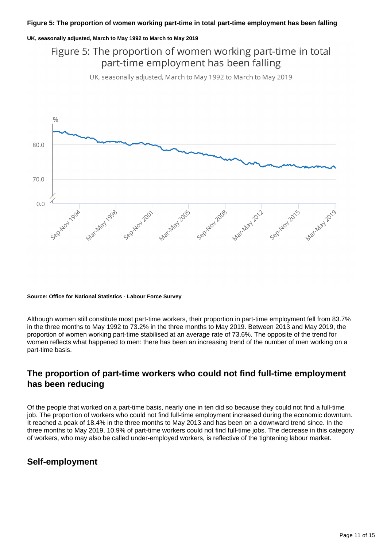#### **UK, seasonally adjusted, March to May 1992 to March to May 2019**

## Figure 5: The proportion of women working part-time in total part-time employment has been falling

UK, seasonally adjusted, March to May 1992 to March to May 2019



#### **Source: Office for National Statistics - Labour Force Survey**

Although women still constitute most part-time workers, their proportion in part-time employment fell from 83.7% in the three months to May 1992 to 73.2% in the three months to May 2019. Between 2013 and May 2019, the proportion of women working part-time stabilised at an average rate of 73.6%. The opposite of the trend for women reflects what happened to men: there has been an increasing trend of the number of men working on a part-time basis.

### **The proportion of part-time workers who could not find full-time employment has been reducing**

Of the people that worked on a part-time basis, nearly one in ten did so because they could not find a full-time job. The proportion of workers who could not find full-time employment increased during the economic downturn. It reached a peak of 18.4% in the three months to May 2013 and has been on a downward trend since. In the three months to May 2019, 10.9% of part-time workers could not find full-time jobs. The decrease in this category of workers, who may also be called under-employed workers, is reflective of the tightening labour market.

### **Self-employment**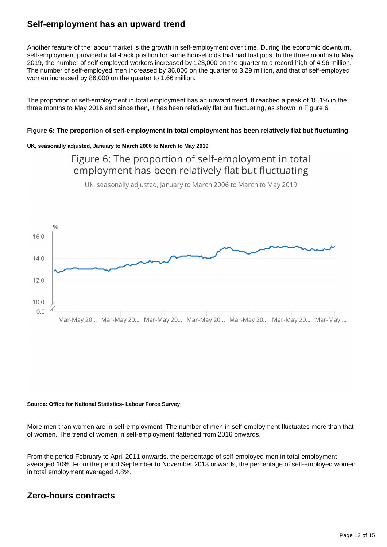### **Self-employment has an upward trend**

Another feature of the labour market is the growth in self-employment over time. During the economic downturn, self-employment provided a fall-back position for some households that had lost jobs. In the three months to May 2019, the number of self-employed workers increased by 123,000 on the quarter to a record high of 4.96 million. The number of self-employed men increased by 36,000 on the quarter to 3.29 million, and that of self-employed women increased by 86,000 on the quarter to 1.66 million.

The proportion of self-employment in total employment has an upward trend. It reached a peak of 15.1% in the three months to May 2016 and since then, it has been relatively flat but fluctuating, as shown in Figure 6.

#### **Figure 6: The proportion of self-employment in total employment has been relatively flat but fluctuating**

#### **UK, seasonally adjusted, January to March 2006 to March to May 2019**

### Figure 6: The proportion of self-employment in total employment has been relatively flat but fluctuating

UK, seasonally adjusted, January to March 2006 to March to May 2019



#### **Source: Office for National Statistics- Labour Force Survey**

More men than women are in self-employment. The number of men in self-employment fluctuates more than that of women. The trend of women in self-employment flattened from 2016 onwards.

From the period February to April 2011 onwards, the percentage of self-employed men in total employment averaged 10%. From the period September to November 2013 onwards, the percentage of self-employed women in total employment averaged 4.8%.

### **Zero-hours contracts**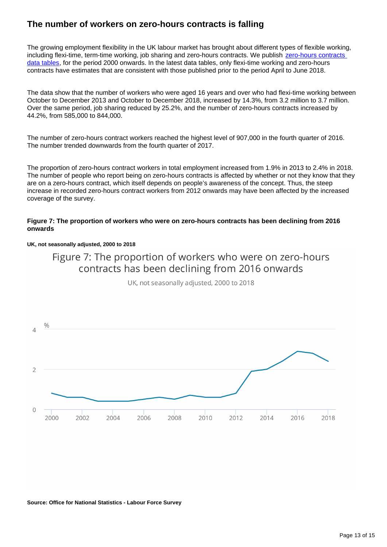### **The number of workers on zero-hours contracts is falling**

The growing employment flexibility in the UK labour market has brought about different types of flexible working, including flexi-time, term-time working, job sharing and zero-hours contracts. We publish [zero-hours contracts](https://www.ons.gov.uk/employmentandlabourmarket/peopleinwork/employmentandemployeetypes/datasets/emp17peopleinemploymentonzerohourscontracts)  [data tables](https://www.ons.gov.uk/employmentandlabourmarket/peopleinwork/employmentandemployeetypes/datasets/emp17peopleinemploymentonzerohourscontracts), for the period 2000 onwards. In the latest data tables, only flexi-time working and zero-hours contracts have estimates that are consistent with those published prior to the period April to June 2018.

The data show that the number of workers who were aged 16 years and over who had flexi-time working between October to December 2013 and October to December 2018, increased by 14.3%, from 3.2 million to 3.7 million. Over the same period, job sharing reduced by 25.2%, and the number of zero-hours contracts increased by 44.2%, from 585,000 to 844,000.

The number of zero-hours contract workers reached the highest level of 907,000 in the fourth quarter of 2016. The number trended downwards from the fourth quarter of 2017.

The proportion of zero-hours contract workers in total employment increased from 1.9% in 2013 to 2.4% in 2018. The number of people who report being on zero-hours contracts is affected by whether or not they know that they are on a zero-hours contract, which itself depends on people's awareness of the concept. Thus, the steep increase in recorded zero-hours contract workers from 2012 onwards may have been affected by the increased coverage of the survey.

#### **Figure 7: The proportion of workers who were on zero-hours contracts has been declining from 2016 onwards**

#### **UK, not seasonally adjusted, 2000 to 2018**



UK, not seasonally adjusted, 2000 to 2018



**Source: Office for National Statistics - Labour Force Survey**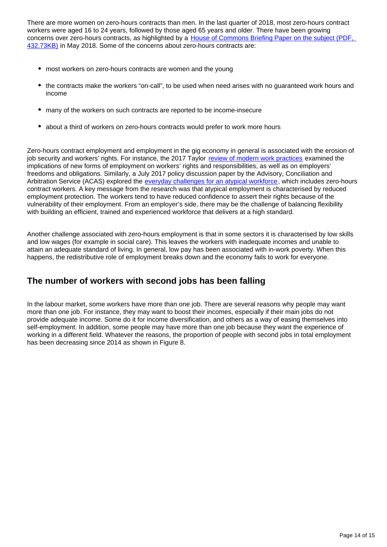There are more women on zero-hours contracts than men. In the last quarter of 2018, most zero-hours contract workers were aged 16 to 24 years, followed by those aged 65 years and older. There have been growing concerns over zero-hours contracts, as highlighted by a [House of Commons Briefing Paper on the subject \(PDF,](http://C:%5CUsers%5Cevansa8%5CDownloads%5CSN06553%20(3).pdf)  [432.73KB\)](http://C:%5CUsers%5Cevansa8%5CDownloads%5CSN06553%20(3).pdf) in May 2018. Some of the concerns about zero-hours contracts are:

- most workers on zero-hours contracts are women and the young
- the contracts make the workers "on-call", to be used when need arises with no guaranteed work hours and income
- many of the workers on such contracts are reported to be income-insecure
- about a third of workers on zero-hours contracts would prefer to work more hours

Zero-hours contract employment and employment in the gig economy in general is associated with the erosion of job security and workers' rights. For instance, the 2017 Taylor [review of modern work practices](https://www.gov.uk/government/publications/good-work-the-taylor-review-of-modern-working-practices) examined the implications of new forms of employment on workers' rights and responsibilities, as well as on employers' freedoms and obligations. Similarly, a July 2017 policy discussion paper by the Advisory, Conciliation and Arbitration Service (ACAS) explored the [everyday challenges for an atypical workforce,](http://m.acas.org.uk/media/pdf/1/1/Everyday-challenges-for-an-atypical-workforce.pdf) which includes zero-hours contract workers. A key message from the research was that atypical employment is characterised by reduced employment protection. The workers tend to have reduced confidence to assert their rights because of the vulnerability of their employment. From an employer's side, there may be the challenge of balancing flexibility with building an efficient, trained and experienced workforce that delivers at a high standard.

Another challenge associated with zero-hours employment is that in some sectors it is characterised by low skills and low wages (for example in social care). This leaves the workers with inadequate incomes and unable to attain an adequate standard of living. In general, low pay has been associated with in-work poverty. When this happens, the redistributive role of employment breaks down and the economy fails to work for everyone.

### **The number of workers with second jobs has been falling**

In the labour market, some workers have more than one job. There are several reasons why people may want more than one job. For instance, they may want to boost their incomes, especially if their main jobs do not provide adequate income. Some do it for income diversification, and others as a way of easing themselves into self-employment. In addition, some people may have more than one job because they want the experience of working in a different field. Whatever the reasons, the proportion of people with second jobs in total employment has been decreasing since 2014 as shown in Figure 8.